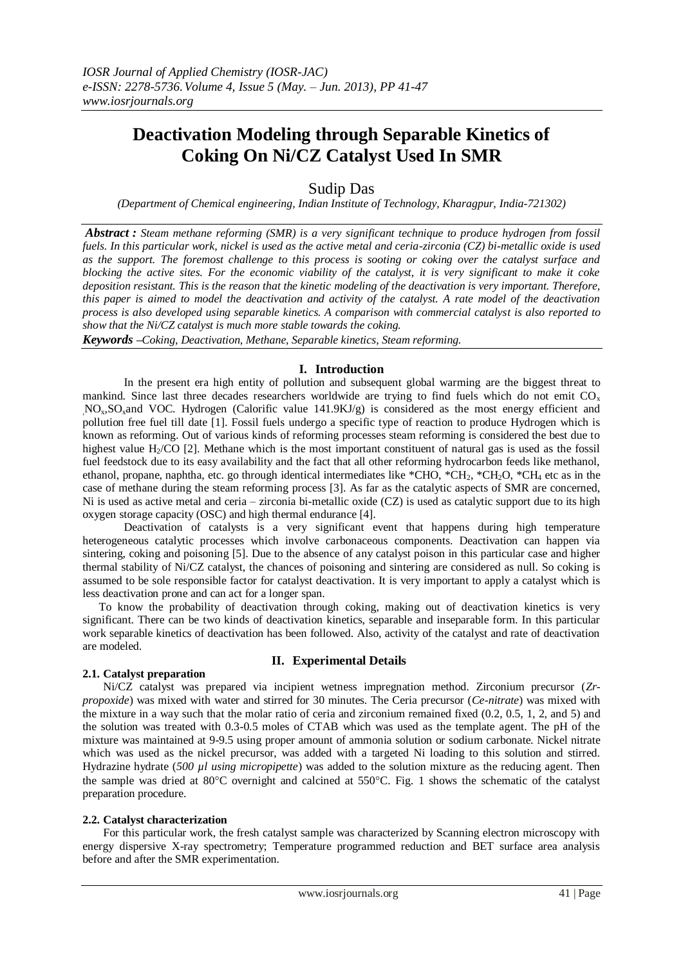# **Deactivation Modeling through Separable Kinetics of Coking On Ni/CZ Catalyst Used In SMR**

# Sudip Das

*(Department of Chemical engineering, Indian Institute of Technology, Kharagpur, India-721302)*

*Abstract : Steam methane reforming (SMR) is a very significant technique to produce hydrogen from fossil fuels. In this particular work, nickel is used as the active metal and ceria-zirconia (CZ) bi-metallic oxide is used as the support. The foremost challenge to this process is sooting or coking over the catalyst surface and blocking the active sites. For the economic viability of the catalyst, it is very significant to make it coke deposition resistant. This is the reason that the kinetic modeling of the deactivation is very important. Therefore, this paper is aimed to model the deactivation and activity of the catalyst. A rate model of the deactivation process is also developed using separable kinetics. A comparison with commercial catalyst is also reported to show that the Ni/CZ catalyst is much more stable towards the coking.*

*Keywords –Coking, Deactivation, Methane, Separable kinetics, Steam reforming.*

# **I. Introduction**

In the present era high entity of pollution and subsequent global warming are the biggest threat to mankind. Since last three decades researchers worldwide are trying to find fuels which do not emit  $CO<sub>x</sub>$ NO<sub>x</sub>, SO<sub>x</sub>and VOC. Hydrogen (Calorific value 141.9KJ/g) is considered as the most energy efficient and pollution free fuel till date [1]. Fossil fuels undergo a specific type of reaction to produce Hydrogen which is known as reforming. Out of various kinds of reforming processes steam reforming is considered the best due to highest value  $H<sub>2</sub>/CO$  [2]. Methane which is the most important constituent of natural gas is used as the fossil fuel feedstock due to its easy availability and the fact that all other reforming hydrocarbon feeds like methanol, ethanol, propane, naphtha, etc. go through identical intermediates like \*CHO, \*CH<sub>2</sub>, \*CH<sub>2</sub>O, \*CH<sub>4</sub> etc as in the case of methane during the steam reforming process [3]. As far as the catalytic aspects of SMR are concerned, Ni is used as active metal and ceria – zirconia bi-metallic oxide (CZ) is used as catalytic support due to its high oxygen storage capacity (OSC) and high thermal endurance [4].

Deactivation of catalysts is a very significant event that happens during high temperature heterogeneous catalytic processes which involve carbonaceous components. Deactivation can happen via sintering, coking and poisoning [5]. Due to the absence of any catalyst poison in this particular case and higher thermal stability of Ni/CZ catalyst, the chances of poisoning and sintering are considered as null. So coking is assumed to be sole responsible factor for catalyst deactivation. It is very important to apply a catalyst which is less deactivation prone and can act for a longer span.

To know the probability of deactivation through coking, making out of deactivation kinetics is very significant. There can be two kinds of deactivation kinetics, separable and inseparable form. In this particular work separable kinetics of deactivation has been followed. Also, activity of the catalyst and rate of deactivation are modeled.

## **2.1. Catalyst preparation**

# **II. Experimental Details**

Ni/CZ catalyst was prepared via incipient wetness impregnation method. Zirconium precursor (*Zrpropoxide*) was mixed with water and stirred for 30 minutes. The Ceria precursor (*Ce-nitrate*) was mixed with the mixture in a way such that the molar ratio of ceria and zirconium remained fixed (0.2, 0.5, 1, 2, and 5) and the solution was treated with 0.3-0.5 moles of CTAB which was used as the template agent. The pH of the mixture was maintained at 9-9.5 using proper amount of ammonia solution or sodium carbonate. Nickel nitrate which was used as the nickel precursor, was added with a targeted Ni loading to this solution and stirred. Hydrazine hydrate (*500 µl using micropipette*) was added to the solution mixture as the reducing agent. Then the sample was dried at  $80^{\circ}$ C overnight and calcined at  $550^{\circ}$ C. Fig. 1 shows the schematic of the catalyst preparation procedure.

#### **2.2. Catalyst characterization**

For this particular work, the fresh catalyst sample was characterized by Scanning electron microscopy with energy dispersive X-ray spectrometry; Temperature programmed reduction and BET surface area analysis before and after the SMR experimentation.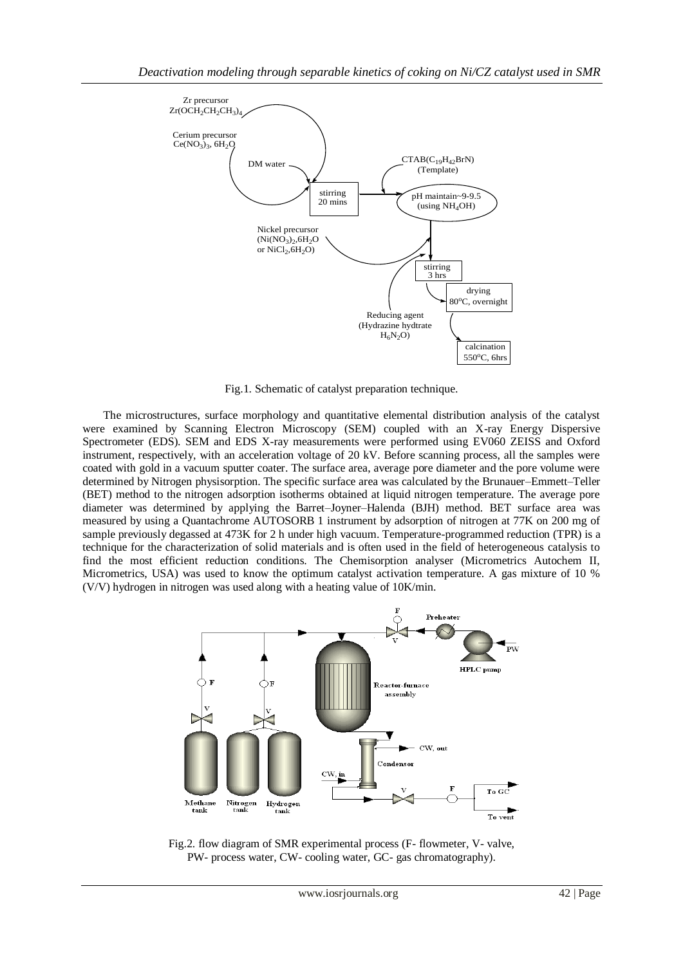

Fig.1. Schematic of catalyst preparation technique.

The microstructures, surface morphology and quantitative elemental distribution analysis of the catalyst were examined by Scanning Electron Microscopy (SEM) coupled with an X-ray Energy Dispersive Spectrometer (EDS). SEM and EDS X-ray measurements were performed using EV060 ZEISS and Oxford instrument, respectively, with an acceleration voltage of 20 kV. Before scanning process, all the samples were coated with gold in a vacuum sputter coater. The surface area, average pore diameter and the pore volume were determined by Nitrogen physisorption. The specific surface area was calculated by the Brunauer–Emmett–Teller (BET) method to the nitrogen adsorption isotherms obtained at liquid nitrogen temperature. The average pore diameter was determined by applying the Barret–Joyner–Halenda (BJH) method. BET surface area was measured by using a Quantachrome AUTOSORB 1 instrument by adsorption of nitrogen at 77K on 200 mg of sample previously degassed at 473K for 2 h under high vacuum. Temperature-programmed reduction (TPR) is a technique for the characterization of solid materials and is often used in the field of heterogeneous catalysis to find the most efficient reduction conditions. The Chemisorption analyser (Micrometrics Autochem II, Micrometrics, USA) was used to know the optimum catalyst activation temperature. A gas mixture of 10 % (V/V) hydrogen in nitrogen was used along with a heating value of 10K/min.



Fig.2. flow diagram of SMR experimental process (F- flowmeter, V- valve, PW- process water, CW- cooling water, GC- gas chromatography).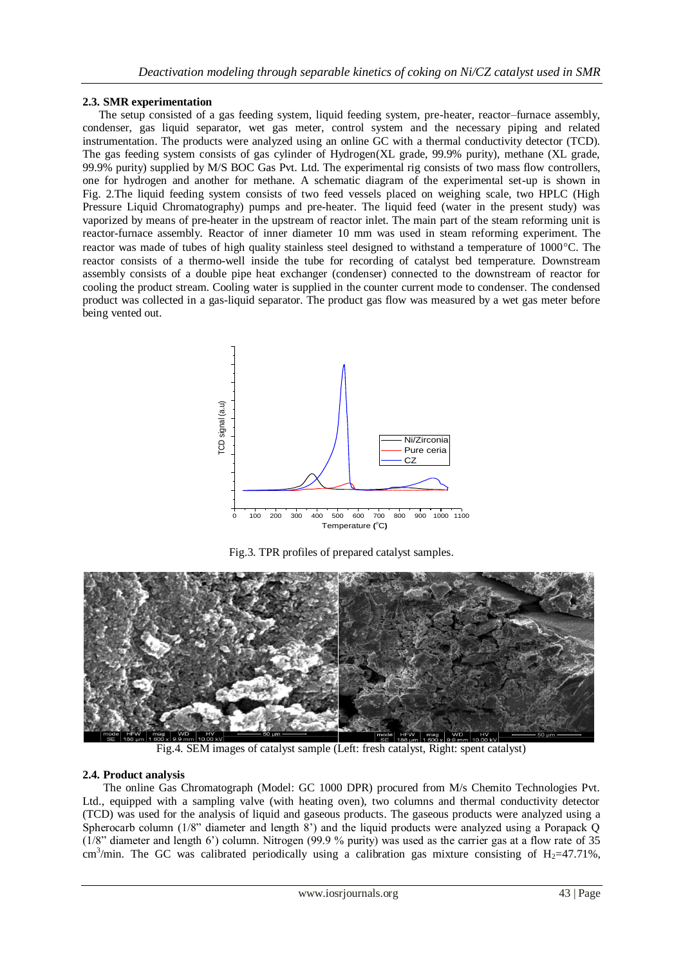# **2.3. SMR experimentation**

The setup consisted of a gas feeding system, liquid feeding system, pre-heater, reactor–furnace assembly, condenser, gas liquid separator, wet gas meter, control system and the necessary piping and related instrumentation. The products were analyzed using an online GC with a thermal conductivity detector (TCD). The gas feeding system consists of gas cylinder of Hydrogen(XL grade, 99.9% purity), methane (XL grade, 99.9% purity) supplied by M/S BOC Gas Pvt. Ltd. The experimental rig consists of two mass flow controllers, one for hydrogen and another for methane. A schematic diagram of the experimental set-up is shown in Fig. 2*.*The liquid feeding system consists of two feed vessels placed on weighing scale, two HPLC (High Pressure Liquid Chromatography) pumps and pre-heater. The liquid feed (water in the present study) was vaporized by means of pre-heater in the upstream of reactor inlet. The main part of the steam reforming unit is reactor-furnace assembly. Reactor of inner diameter 10 mm was used in steam reforming experiment. The reactor was made of tubes of high quality stainless steel designed to withstand a temperature of  $1000^{\circ}$ C. The reactor consists of a thermo-well inside the tube for recording of catalyst bed temperature. Downstream assembly consists of a double pipe heat exchanger (condenser) connected to the downstream of reactor for cooling the product stream. Cooling water is supplied in the counter current mode to condenser. The condensed product was collected in a gas-liquid separator. The product gas flow was measured by a wet gas meter before being vented out.



Fig.3. TPR profiles of prepared catalyst samples.



Fig.4. SEM images of catalyst sample (Left: fresh catalyst, Right: spent catalyst)

# **2.4. Product analysis**

The online Gas Chromatograph (Model: GC 1000 DPR) procured from M/s Chemito Technologies Pvt. Ltd., equipped with a sampling valve (with heating oven), two columns and thermal conductivity detector (TCD) was used for the analysis of liquid and gaseous products. The gaseous products were analyzed using a Spherocarb column (1/8" diameter and length 8') and the liquid products were analyzed using a Porapack Q (1/8" diameter and length 6') column. Nitrogen (99.9 % purity) was used as the carrier gas at a flow rate of 35 cm<sup>3</sup>/min. The GC was calibrated periodically using a calibration gas mixture consisting of H<sub>2</sub>=47.71%,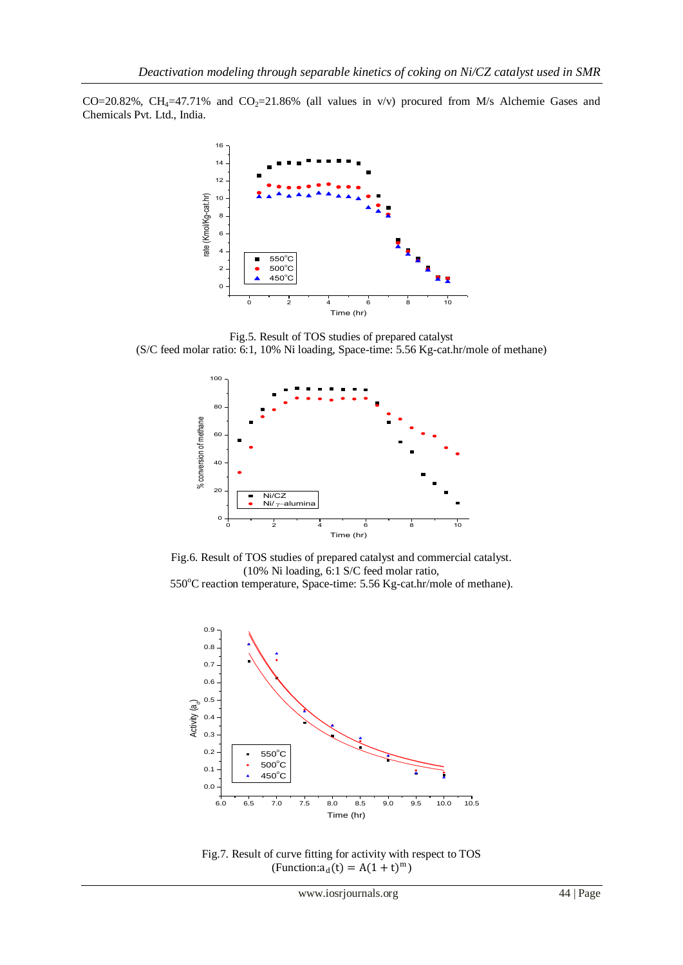CO=20.82%, CH<sub>4</sub>=47.71% and CO<sub>2</sub>=21.86% (all values in v/v) procured from M/s Alchemie Gases and Chemicals Pvt. Ltd., India.



Fig.5. Result of TOS studies of prepared catalyst (S/C feed molar ratio: 6:1, 10% Ni loading, Space-time: 5.56 Kg-cat.hr/mole of methane)



Fig.6. Result of TOS studies of prepared catalyst and commercial catalyst. (10% Ni loading, 6:1 S/C feed molar ratio, 550°C reaction temperature, Space-time: 5.56 Kg-cat.hr/mole of methane).



Fig.7. Result of curve fitting for activity with respect to TOS  $(\text{Function}: \mathbf{a}_{d}(t) = A(1+t)^{m})$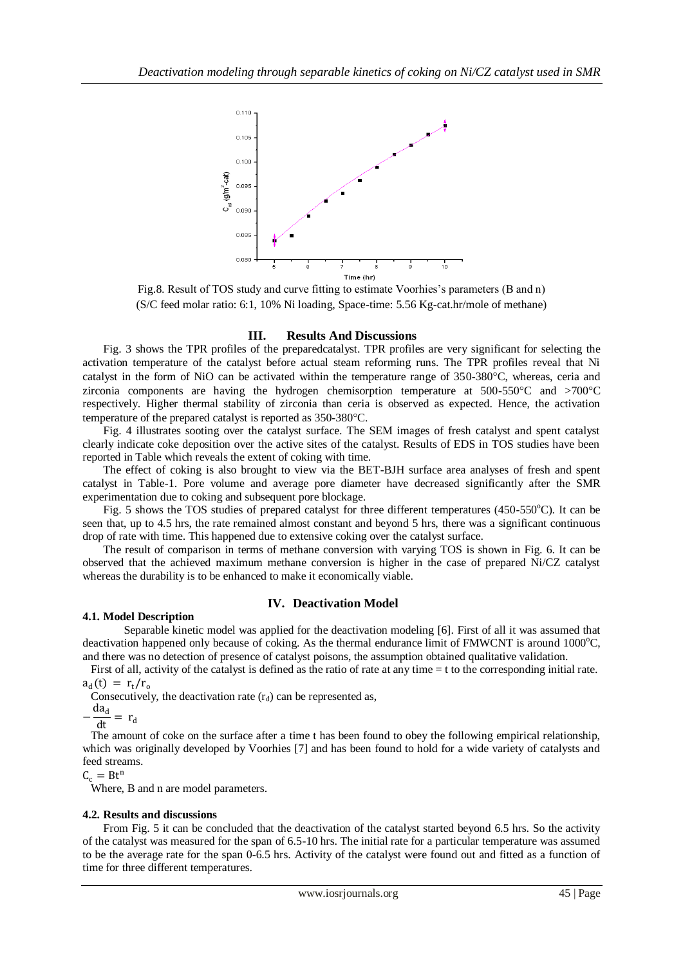

Fig.8. Result of TOS study and curve fitting to estimate Voorhies's parameters (B and n) (S/C feed molar ratio: 6:1, 10% Ni loading, Space-time: 5.56 Kg-cat.hr/mole of methane)

#### **III. Results And Discussions**

Fig. 3 shows the TPR profiles of the preparedcatalyst. TPR profiles are very significant for selecting the activation temperature of the catalyst before actual steam reforming runs. The TPR profiles reveal that Ni catalyst in the form of NiO can be activated within the temperature range of  $350-380^{\circ}$ C, whereas, ceria and zirconia components are having the hydrogen chemisorption temperature at  $500-550^{\circ}$ C and  $>700^{\circ}$ C respectively. Higher thermal stability of zirconia than ceria is observed as expected. Hence, the activation temperature of the prepared catalyst is reported as 350-380 °C.

Fig. 4 illustrates sooting over the catalyst surface. The SEM images of fresh catalyst and spent catalyst clearly indicate coke deposition over the active sites of the catalyst. Results of EDS in TOS studies have been reported in Table which reveals the extent of coking with time.

The effect of coking is also brought to view via the BET-BJH surface area analyses of fresh and spent catalyst in Table-1. Pore volume and average pore diameter have decreased significantly after the SMR experimentation due to coking and subsequent pore blockage.

Fig. 5 shows the TOS studies of prepared catalyst for three different temperatures (450-550 $^{\circ}$ C). It can be seen that, up to 4.5 hrs, the rate remained almost constant and beyond 5 hrs, there was a significant continuous drop of rate with time. This happened due to extensive coking over the catalyst surface.

The result of comparison in terms of methane conversion with varying TOS is shown in Fig. 6. It can be observed that the achieved maximum methane conversion is higher in the case of prepared Ni/CZ catalyst whereas the durability is to be enhanced to make it economically viable.

#### **IV. Deactivation Model**

#### **4.1. Model Description**

Separable kinetic model was applied for the deactivation modeling [6]. First of all it was assumed that deactivation happened only because of coking. As the thermal endurance limit of  $\text{FMWCNT}$  is around 1000 $\textdegree$ C, and there was no detection of presence of catalyst poisons, the assumption obtained qualitative validation.

First of all, activity of the catalyst is defined as the ratio of rate at any time = t to the corresponding initial rate.  $a_d(t) = r_t/r_o$ 

Consecutively, the deactivation rate  $(r_d)$  can be represented as,

$$
-\frac{da_d}{dt} = r
$$

The amount of coke on the surface after a time t has been found to obey the following empirical relationship, which was originally developed by Voorhies [7] and has been found to hold for a wide variety of catalysts and feed streams.

 $C_c = Bt^n$ 

Where, B and n are model parameters.

#### **4.2. Results and discussions**

From Fig. 5 it can be concluded that the deactivation of the catalyst started beyond 6.5 hrs. So the activity of the catalyst was measured for the span of 6.5-10 hrs. The initial rate for a particular temperature was assumed to be the average rate for the span 0-6.5 hrs. Activity of the catalyst were found out and fitted as a function of time for three different temperatures.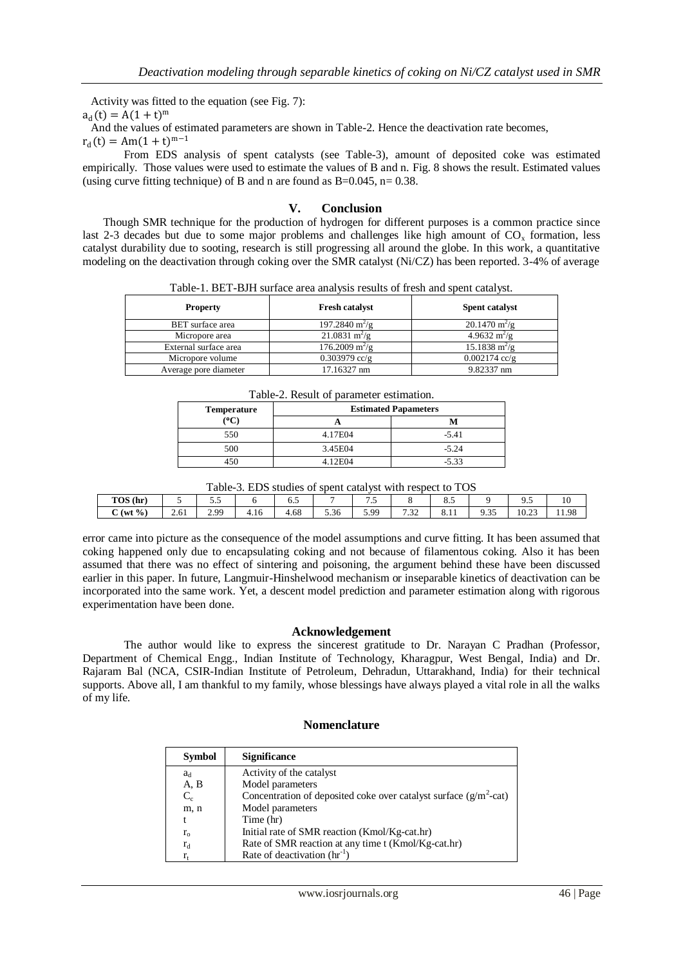Activity was fitted to the equation (see Fig. 7):

 $a_d(t) = A(1 + t)^m$ 

And the values of estimated parameters are shown in Table-2. Hence the deactivation rate becomes,

 $r_d(t) = Am(1+t)^{m-1}$ 

From EDS analysis of spent catalysts (see Table-3), amount of deposited coke was estimated empirically. Those values were used to estimate the values of B and n. Fig. 8 shows the result. Estimated values (using curve fitting technique) of B and n are found as  $B=0.045$ , n= 0.38.

## **V. Conclusion**

Though SMR technique for the production of hydrogen for different purposes is a common practice since last 2-3 decades but due to some major problems and challenges like high amount of  $CO<sub>x</sub>$  formation, less catalyst durability due to sooting, research is still progressing all around the globe. In this work, a quantitative modeling on the deactivation through coking over the SMR catalyst (Ni/CZ) has been reported. 3-4% of average

Table-1. BET-BJH surface area analysis results of fresh and spent catalyst.

| <b>Property</b>       | <b>Fresh catalyst</b>           | <b>Spent catalyst</b>          |
|-----------------------|---------------------------------|--------------------------------|
| BET surface area      | $197.2840 \text{ m}^2/\text{g}$ | $20.1470 \text{ m}^2/\text{g}$ |
| Micropore area        | $21.0831 \text{ m}^2/\text{g}$  | $4.9632 \text{ m}^2/\text{g}$  |
| External surface area | $176.2009 \text{ m}^2/\text{g}$ | $15.1838 \text{ m}^2/\text{g}$ |
| Micropore volume      | $0.303979$ cc/g                 | $0.002174$ cc/g                |
| Average pore diameter | 17.16327 nm                     | 9.82337 nm                     |

| Table-2. Result of parameter estimation. |  |                             |  |  |  |
|------------------------------------------|--|-----------------------------|--|--|--|
| Temperature                              |  | <b>Estimated Papameters</b> |  |  |  |
| $\rm ^{(o}C)$                            |  |                             |  |  |  |

| Temperature | <b>Estimated Papameters</b> |         |  |  |  |  |  |
|-------------|-----------------------------|---------|--|--|--|--|--|
| (°C)        |                             |         |  |  |  |  |  |
| 550         | 4.17E04                     | $-5.41$ |  |  |  |  |  |
| 500         | 3.45E04                     | $-5.24$ |  |  |  |  |  |
| 450         | 4.12E04                     | $-5.33$ |  |  |  |  |  |

| Table-3. EDS studies of spent catalyst with respect to TOS |  |  |  |  |  |
|------------------------------------------------------------|--|--|--|--|--|
|                                                            |  |  |  |  |  |

| TOS (hr)                  |      | ັ                 |      | ◡.◡            |                     | . .  |               | -<br>ം. |                               | ر.,   | 10    |
|---------------------------|------|-------------------|------|----------------|---------------------|------|---------------|---------|-------------------------------|-------|-------|
| $(wt \% )$<br>$\sim$<br>ັ | 2.61 | 2. QQ<br><u> </u> | 4.IO | $\sim$<br>4.68 | -<br>$\sim$<br>5.36 | 5.99 | $\sim$<br>ے ب | 0.11    | $\sim$ $\sim$<br>$\sim$<br>ر. | 10.23 | 11.98 |

error came into picture as the consequence of the model assumptions and curve fitting. It has been assumed that coking happened only due to encapsulating coking and not because of filamentous coking. Also it has been assumed that there was no effect of sintering and poisoning, the argument behind these have been discussed earlier in this paper. In future, Langmuir-Hinshelwood mechanism or inseparable kinetics of deactivation can be incorporated into the same work. Yet, a descent model prediction and parameter estimation along with rigorous experimentation have been done.

#### **Acknowledgement**

The author would like to express the sincerest gratitude to Dr. Narayan C Pradhan (Professor, Department of Chemical Engg., Indian Institute of Technology, Kharagpur, West Bengal, India) and Dr. Rajaram Bal (NCA, CSIR-Indian Institute of Petroleum, Dehradun, Uttarakhand, India) for their technical supports. Above all, I am thankful to my family, whose blessings have always played a vital role in all the walks of my life.

#### **Nomenclature**

| <b>Symbol</b> | <b>Significance</b>                                                  |
|---------------|----------------------------------------------------------------------|
| $a_d$         | Activity of the catalyst                                             |
| A, B          | Model parameters                                                     |
| $C_c$         | Concentration of deposited coke over catalyst surface $(g/m^2$ -cat) |
| m, n          | Model parameters                                                     |
|               | Time (hr)                                                            |
| $r_{0}$       | Initial rate of SMR reaction (Kmol/Kg-cat.hr)                        |
| $r_d$         | Rate of SMR reaction at any time t (Kmol/Kg-cat.hr)                  |
|               | Rate of deactivation $(hr^{-1})$                                     |